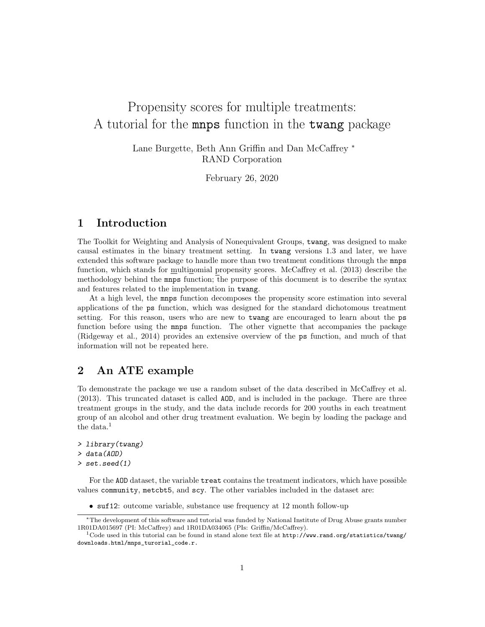# Propensity scores for multiple treatments: A tutorial for the mnps function in the twang package

Lane Burgette, Beth Ann Griffin and Dan McCaffrey <sup>∗</sup> RAND Corporation

February 26, 2020

# 1 Introduction

The Toolkit for Weighting and Analysis of Nonequivalent Groups, twang, was designed to make causal estimates in the binary treatment setting. In twang versions 1.3 and later, we have extended this software package to handle more than two treatment conditions through the mnps function, which stands for multinomial propensity scores. McCaffrey et al. (2013) describe the methodology behind the mnps function; the purpose of this document is to describe the syntax and features related to the implementation in twang.

At a high level, the mnps function decomposes the propensity score estimation into several applications of the ps function, which was designed for the standard dichotomous treatment setting. For this reason, users who are new to twang are encouraged to learn about the ps function before using the mnps function. The other vignette that accompanies the package (Ridgeway et al., 2014) provides an extensive overview of the ps function, and much of that information will not be repeated here.

# 2 An ATE example

To demonstrate the package we use a random subset of the data described in McCaffrey et al. (2013). This truncated dataset is called AOD, and is included in the package. There are three treatment groups in the study, and the data include records for 200 youths in each treatment group of an alcohol and other drug treatment evaluation. We begin by loading the package and the data $1$ 

```
> library(twang)
> data(AOD)
> set.seed(1)
```
For the AOD dataset, the variable treat contains the treatment indicators, which have possible values community, metcbt5, and scy. The other variables included in the dataset are:

• suf12: outcome variable, substance use frequency at 12 month follow-up

<sup>∗</sup>The development of this software and tutorial was funded by National Institute of Drug Abuse grants number 1R01DA015697 (PI: McCaffrey) and 1R01DA034065 (PIs: Griffin/McCaffrey).

 $1$ Code used in this tutorial can be found in stand alone text file at  ${\hbox{http://www.random.org/statisfics/twang/}}$ downloads.html/mnps\_turorial\_code.r.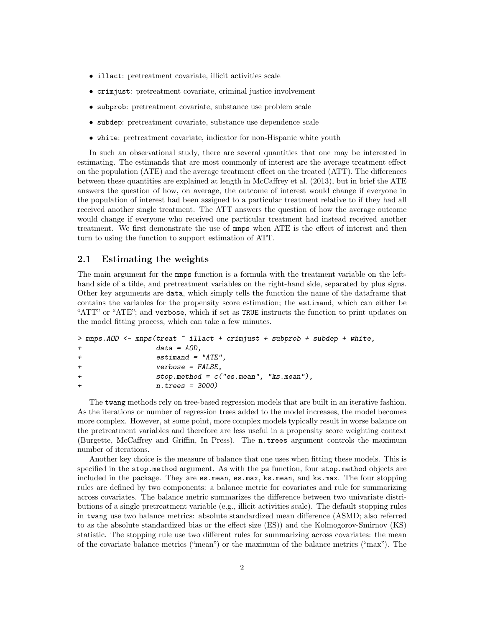- illact: pretreatment covariate, illicit activities scale
- crimjust: pretreatment covariate, criminal justice involvement
- subprob: pretreatment covariate, substance use problem scale
- subdep: pretreatment covariate, substance use dependence scale
- white: pretreatment covariate, indicator for non-Hispanic white youth

In such an observational study, there are several quantities that one may be interested in estimating. The estimands that are most commonly of interest are the average treatment effect on the population (ATE) and the average treatment effect on the treated (ATT). The differences between these quantities are explained at length in McCaffrey et al. (2013), but in brief the ATE answers the question of how, on average, the outcome of interest would change if everyone in the population of interest had been assigned to a particular treatment relative to if they had all received another single treatment. The ATT answers the question of how the average outcome would change if everyone who received one particular treatment had instead received another treatment. We first demonstrate the use of mnps when ATE is the effect of interest and then turn to using the function to support estimation of ATT.

#### 2.1 Estimating the weights

The main argument for the mnps function is a formula with the treatment variable on the lefthand side of a tilde, and pretreatment variables on the right-hand side, separated by plus signs. Other key arguments are data, which simply tells the function the name of the dataframe that contains the variables for the propensity score estimation; the estimand, which can either be "ATT" or "ATE"; and verbose, which if set as TRUE instructs the function to print updates on the model fitting process, which can take a few minutes.

```
> mnps.AOD <- mnps(treat ~ illact + crimjust + subprob + subdep + white,
+ data = AOD,
+ estimand = "ATE",
+ verbose = FALSE,
+ stop.method = c("es.mean", "ks.mean"),
+ n.trees = 3000)
```
The twang methods rely on tree-based regression models that are built in an iterative fashion. As the iterations or number of regression trees added to the model increases, the model becomes more complex. However, at some point, more complex models typically result in worse balance on the pretreatment variables and therefore are less useful in a propensity score weighting context (Burgette, McCaffrey and Griffin, In Press). The n.trees argument controls the maximum number of iterations.

Another key choice is the measure of balance that one uses when fitting these models. This is specified in the stop.method argument. As with the ps function, four stop.method objects are included in the package. They are es.mean, es.max, ks.mean, and ks.max. The four stopping rules are defined by two components: a balance metric for covariates and rule for summarizing across covariates. The balance metric summarizes the difference between two univariate distributions of a single pretreatment variable (e.g., illicit activities scale). The default stopping rules in twang use two balance metrics: absolute standardized mean difference (ASMD; also referred to as the absolute standardized bias or the effect size (ES)) and the Kolmogorov-Smirnov (KS) statistic. The stopping rule use two different rules for summarizing across covariates: the mean of the covariate balance metrics ("mean") or the maximum of the balance metrics ("max"). The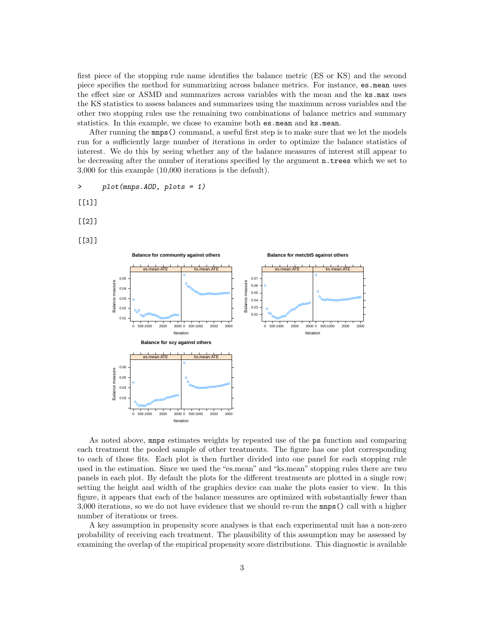first piece of the stopping rule name identifies the balance metric (ES or KS) and the second piece specifies the method for summarizing across balance metrics. For instance, es.mean uses the effect size or ASMD and summarizes across variables with the mean and the ks.max uses the KS statistics to assess balances and summarizes using the maximum across variables and the other two stopping rules use the remaining two combinations of balance metrics and summary statistics. In this example, we chose to examine both es.mean and ks.mean.

After running the mnps() command, a useful first step is to make sure that we let the models run for a sufficiently large number of iterations in order to optimize the balance statistics of interest. We do this by seeing whether any of the balance measures of interest still appear to be decreasing after the number of iterations specified by the argument n.trees which we set to 3,000 for this example (10,000 iterations is the default).

> plot(mnps.AOD, plots = 1)

 $[$ [1]]

[[2]]

 $[$ [3]]



As noted above, mnps estimates weights by repeated use of the ps function and comparing each treatment the pooled sample of other treatments. The figure has one plot corresponding to each of those fits. Each plot is then further divided into one panel for each stopping rule used in the estimation. Since we used the "es.mean" and "ks.mean" stopping rules there are two panels in each plot. By default the plots for the different treatments are plotted in a single row; setting the height and width of the graphics device can make the plots easier to view. In this figure, it appears that each of the balance measures are optimized with substantially fewer than 3,000 iterations, so we do not have evidence that we should re-run the mnps() call with a higher number of iterations or trees.

A key assumption in propensity score analyses is that each experimental unit has a non-zero probability of receiving each treatment. The plausibility of this assumption may be assessed by examining the overlap of the empirical propensity score distributions. This diagnostic is available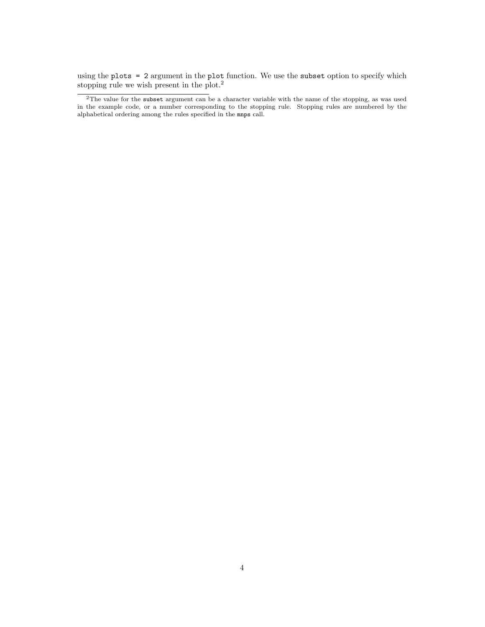using the plots = 2 argument in the plot function. We use the subset option to specify which stopping rule we wish present in the plot.<sup>2</sup>

<sup>2</sup>The value for the subset argument can be a character variable with the name of the stopping, as was used in the example code, or a number corresponding to the stopping rule. Stopping rules are numbered by the alphabetical ordering among the rules specified in the mnps call.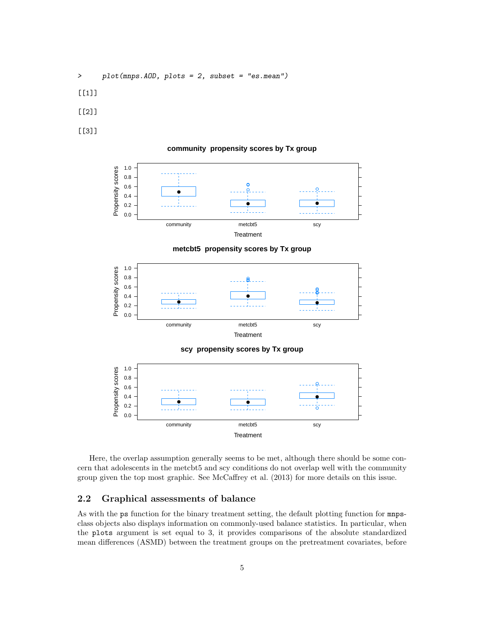- > plot(mnps.AOD, plots = 2, subset = "es.mean")
- [[1]]
- [[2]]
- [[3]]

#### **community propensity scores by Tx group**



**metcbt5 propensity scores by Tx group**



Here, the overlap assumption generally seems to be met, although there should be some concern that adolescents in the metcbt5 and scy conditions do not overlap well with the community group given the top most graphic. See McCaffrey et al. (2013) for more details on this issue.

**Treatment** 

community metcbt5 scy

### 2.2 Graphical assessments of balance

0.0

As with the ps function for the binary treatment setting, the default plotting function for mnpsclass objects also displays information on commonly-used balance statistics. In particular, when the plots argument is set equal to 3, it provides comparisons of the absolute standardized mean differences (ASMD) between the treatment groups on the pretreatment covariates, before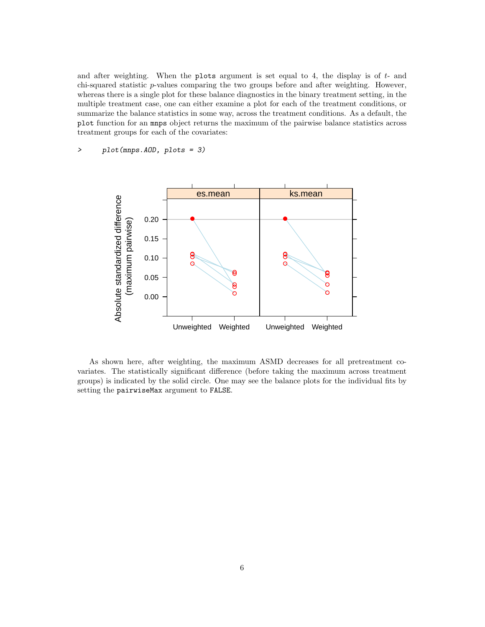and after weighting. When the plots argument is set equal to 4, the display is of  $t$ - and chi-squared statistic p-values comparing the two groups before and after weighting. However, whereas there is a single plot for these balance diagnostics in the binary treatment setting, in the multiple treatment case, one can either examine a plot for each of the treatment conditions, or summarize the balance statistics in some way, across the treatment conditions. As a default, the plot function for an mnps object returns the maximum of the pairwise balance statistics across treatment groups for each of the covariates:

> plot(mnps.AOD, plots = 3)



As shown here, after weighting, the maximum ASMD decreases for all pretreatment covariates. The statistically significant difference (before taking the maximum across treatment groups) is indicated by the solid circle. One may see the balance plots for the individual fits by setting the pairwiseMax argument to FALSE.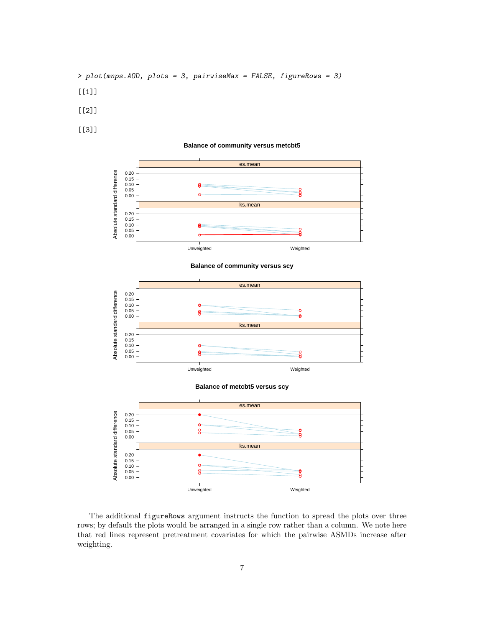- > plot(mnps.AOD, plots = 3, pairwiseMax = FALSE, figureRows = 3)
- $[[1]$
- [[2]]
- [[3]]

#### **Balance of community versus metcbt5**



**Balance of community versus scy**



**Balance of metcbt5 versus scy**



The additional figureRows argument instructs the function to spread the plots over three rows; by default the plots would be arranged in a single row rather than a column. We note here that red lines represent pretreatment covariates for which the pairwise ASMDs increase after weighting.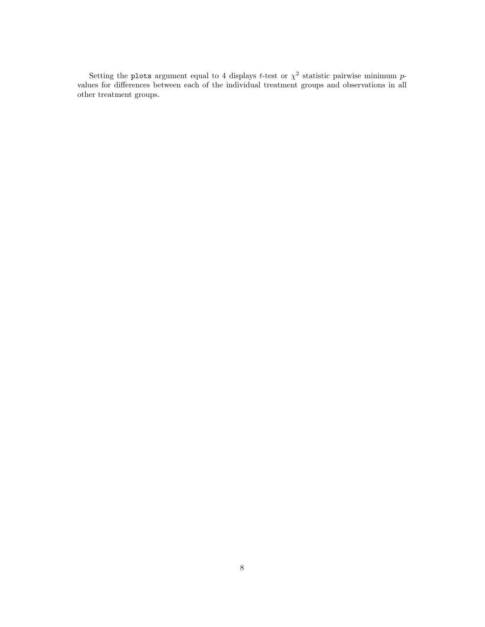Setting the plots argument equal to 4 displays t-test or  $\chi^2$  statistic pairwise minimum pvalues for differences between each of the individual treatment groups and observations in all other treatment groups.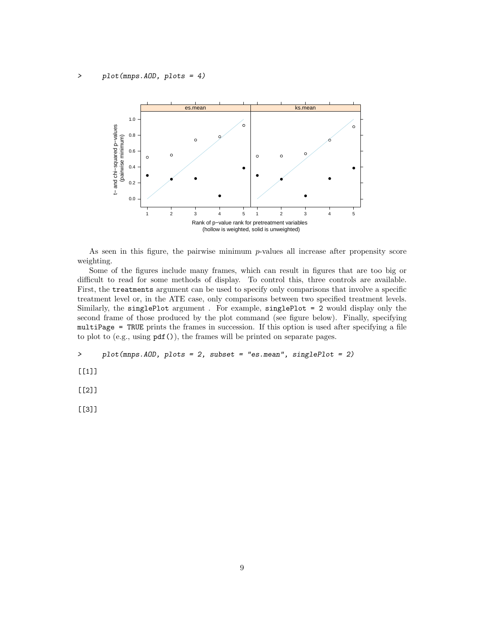

As seen in this figure, the pairwise minimum  $p$ -values all increase after propensity score weighting.

Some of the figures include many frames, which can result in figures that are too big or difficult to read for some methods of display. To control this, three controls are available. First, the treatments argument can be used to specify only comparisons that involve a specific treatment level or, in the ATE case, only comparisons between two specified treatment levels. Similarly, the singlePlot argument . For example, singlePlot = 2 would display only the second frame of those produced by the plot command (see figure below). Finally, specifying multiPage = TRUE prints the frames in succession. If this option is used after specifying a file to plot to (e.g., using  $pdf()$ ), the frames will be printed on separate pages.

```
> plot(mnps.AOD, plots = 2, subset = "es.mean", singlePlot = 2)
```
[[1]]

[[2]]

[[3]]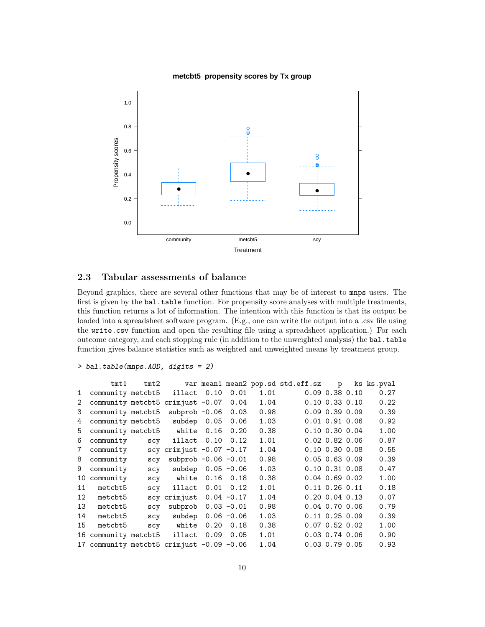#### **metcbt5 propensity scores by Tx group**



### 2.3 Tabular assessments of balance

Beyond graphics, there are several other functions that may be of interest to mnps users. The first is given by the bal.table function. For propensity score analyses with multiple treatments, this function returns a lot of information. The intention with this function is that its output be loaded into a spreadsheet software program. (E.g., one can write the output into a .csv file using the write.csv function and open the resulting file using a spreadsheet application.) For each outcome category, and each stopping rule (in addition to the unweighted analysis) the bal.table function gives balance statistics such as weighted and unweighted means by treatment group.

```
> bal.table(mnps.AOD, digits = 2)
```

|                | tmt1                                      | $t$ mt $2$ |                              |      |               |      | var mean1 mean2 pop.sd std.eff.sz | $\mathbf{p}$         | ks ks.pval |
|----------------|-------------------------------------------|------------|------------------------------|------|---------------|------|-----------------------------------|----------------------|------------|
| $\mathbf{1}$   | community metcbt5                         |            | illact 0.10                  |      | 0.01          | 1.01 |                                   | $0.09$ $0.38$ $0.10$ | 0.27       |
| $\overline{2}$ | community metcbt5 crimjust $-0.07$        |            |                              |      | 0.04          | 1.04 |                                   | $0.10 \t0.33 \t0.10$ | 0.22       |
| 3              | community metcbt5                         |            | subprob $-0.06$              |      | 0.03          | 0.98 |                                   | $0.09$ $0.39$ $0.09$ | 0.39       |
| 4              | community metcbt5                         |            | subdep $0.05$                |      | 0.06          | 1.03 |                                   | $0.01$ $0.91$ $0.06$ | 0.92       |
| 5              | community metcbt5                         |            | white                        | 0.16 | 0.20          | 0.38 |                                   | $0.10 \t0.30 \t0.04$ | 1.00       |
| 6              | community                                 | scy        | illact 0.10                  |      | 0.12          | 1.01 |                                   | $0.02$ $0.82$ $0.06$ | 0.87       |
| $\overline{7}$ | community                                 |            | scy crimjust $-0.07$ $-0.17$ |      |               | 1.04 |                                   | $0.10 \t0.30 \t0.08$ | 0.55       |
| 8              | community                                 | scy        | subprob $-0.06 -0.01$        |      |               | 0.98 |                                   | $0.05$ 0.63 0.09     | 0.39       |
| 9              | community                                 | SCV        | subdep                       |      | $0.05 - 0.06$ | 1.03 |                                   | $0.10 \t0.31 \t0.08$ | 0.47       |
| 10             | community                                 | SCV        | white                        |      | $0.16$ 0.18   | 0.38 |                                   | $0.04$ $0.69$ $0.02$ | 1.00       |
| 11             | metcbt5                                   | SCV        | illact                       | 0.01 | 0.12          | 1.01 |                                   | $0.11$ $0.26$ $0.11$ | 0.18       |
| 12             | metcbt5                                   |            | scy crimjust                 |      | $0.04 - 0.17$ | 1.04 |                                   | $0.20 \t0.04 \t0.13$ | 0.07       |
| 13             | metcbt5                                   | SCV        | subprob                      |      | $0.03 - 0.01$ | 0.98 |                                   | $0.04$ 0.70 0.06     | 0.79       |
| 14             | metcbt5                                   | scy        | subdep                       |      | $0.06 - 0.06$ | 1.03 |                                   | $0.11$ $0.25$ $0.09$ | 0.39       |
| 15             | metcbt5                                   | scy        | white                        | 0.20 | 0.18          | 0.38 |                                   | $0.07$ $0.52$ $0.02$ | 1.00       |
| 16             | community metcbt5                         |            | illact                       | 0.09 | 0.05          | 1.01 |                                   | $0.03$ $0.74$ $0.06$ | 0.90       |
|                | 17 community metcbt5 crimjust -0.09 -0.06 |            |                              |      |               | 1.04 |                                   | $0.03$ 0.79 0.05     | 0.93       |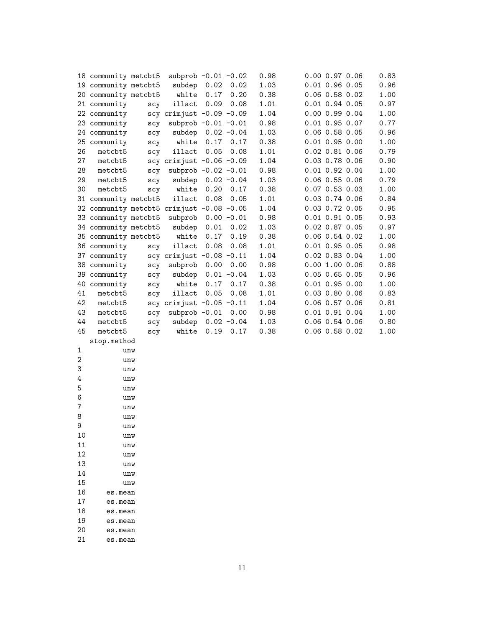|                | 18 community metcbt5                      |     | subprob $-0.01 - 0.02$       |      |               | 0.98 | 0.00 0.97 0.06       | 0.83 |
|----------------|-------------------------------------------|-----|------------------------------|------|---------------|------|----------------------|------|
|                | 19 community metcbt5                      |     | subdep 0.02                  |      | 0.02          | 1.03 | $0.01$ 0.96 0.05     | 0.96 |
|                | 20 community metcbt5                      |     | white                        | 0.17 | 0.20          | 0.38 | $0.06$ 0.58 0.02     | 1.00 |
|                | 21 community                              | scy | illact 0.09                  |      | 0.08          | 1.01 | $0.01$ 0.94 0.05     | 0.97 |
|                | 22 community                              |     | scy crimjust $-0.09$ $-0.09$ |      |               | 1.04 | 0.00 0.99 0.04       | 1.00 |
|                | 23 community                              | scy | subprob $-0.01 - 0.01$       |      |               | 0.98 | $0.01$ 0.95 0.07     | 0.77 |
|                | 24 community                              | scy | subdep 0.02 -0.04            |      |               | 1.03 | $0.06$ 0.58 0.05     | 0.96 |
|                | 25 community                              | scy | white                        | 0.17 | 0.17          | 0.38 | $0.01$ 0.95 0.00     | 1.00 |
| 26             | metcbt5                                   | scy | illact                       | 0.05 | 0.08          | 1.01 | 0.02 0.81 0.06       | 0.79 |
| 27             | metcbt5                                   |     | scy crimjust $-0.06$ $-0.09$ |      |               | 1.04 | $0.03$ 0.78 0.06     | 0.90 |
| 28             | metcbt5                                   | scy | subprob $-0.02 -0.01$        |      |               | 0.98 | $0.01$ 0.92 0.04     | 1.00 |
| 29             | metcbt5                                   | scy | subdep $0.02 -0.04$          |      |               | 1.03 | $0.06$ 0.55 0.06     | 0.79 |
| 30             | metcbt5                                   | scy | white                        | 0.20 | 0.17          | 0.38 | $0.07$ 0.53 0.03     | 1.00 |
|                | 31 community metcbt5                      |     | illact                       | 0.08 | 0.05          | 1.01 | $0.03$ 0.74 0.06     | 0.84 |
|                | 32 community metcbt5 crimjust -0.08 -0.05 |     |                              |      |               | 1.04 | 0.03 0.72 0.05       | 0.95 |
|                | 33 community metcbt5                      |     | subprob 0.00 -0.01           |      |               | 0.98 | $0.01$ 0.91 0.05     | 0.93 |
|                | 34 community metcbt5                      |     | subdep                       | 0.01 | 0.02          | 1.03 | 0.02 0.87 0.05       | 0.97 |
|                | 35 community metcbt5                      |     | white                        | 0.17 | 0.19          | 0.38 | 0.06 0.54 0.02       | 1.00 |
|                | 36 community                              | scy | illact                       | 0.08 | 0.08          | 1.01 | $0.01$ 0.95 0.05     | 0.98 |
|                | 37 community                              |     | scy crimjust $-0.08$ $-0.11$ |      |               | 1.04 | $0.02$ $0.83$ $0.04$ | 1.00 |
|                | 38 community                              | scy | subprob                      | 0.00 | 0.00          | 0.98 | $0.00$ 1.00 0.06     | 0.88 |
|                | 39 community                              | scy | subdep                       |      | $0.01 - 0.04$ | 1.03 | $0.05$ 0.65 0.05     | 0.96 |
|                | 40 community                              | scy | white                        | 0.17 | 0.17          | 0.38 | $0.01$ 0.95 0.00     | 1.00 |
| 41             | metcbt5                                   | scy | illact                       | 0.05 | 0.08          | 1.01 | 0.03 0.80 0.06       | 0.83 |
| 42             | metcbt5                                   |     | scy crimjust $-0.05$ $-0.11$ |      |               | 1.04 | $0.06$ 0.57 0.06     | 0.81 |
| 43             | metcbt5                                   | scy | subprob $-0.01$              |      | 0.00          | 0.98 | $0.01$ 0.91 0.04     | 1.00 |
| 44             | metcbt5                                   | scy | subdep 0.02 -0.04            |      |               | 1.03 | 0.06 0.54 0.06       | 0.80 |
| 45             | metcbt5                                   | scy | white                        | 0.19 | 0.17          | 0.38 | 0.06 0.58 0.02       | 1.00 |
|                | stop.method                               |     |                              |      |               |      |                      |      |
| 1              |                                           | unw |                              |      |               |      |                      |      |
| 2              |                                           | unw |                              |      |               |      |                      |      |
| 3              |                                           | unw |                              |      |               |      |                      |      |
| 4              |                                           | unw |                              |      |               |      |                      |      |
| 5              |                                           | unw |                              |      |               |      |                      |      |
| 6              |                                           | unw |                              |      |               |      |                      |      |
| $\overline{7}$ |                                           | unw |                              |      |               |      |                      |      |
| 8              |                                           | unw |                              |      |               |      |                      |      |
| 9              |                                           | unw |                              |      |               |      |                      |      |
| 10             |                                           | unw |                              |      |               |      |                      |      |
| 11             |                                           | unw |                              |      |               |      |                      |      |
| 12             |                                           | unw |                              |      |               |      |                      |      |
| 13             |                                           | unw |                              |      |               |      |                      |      |
| 14             |                                           | unw |                              |      |               |      |                      |      |
| 15             |                                           | unw |                              |      |               |      |                      |      |

16 es.mean 17 es.mean<br>18 es.mean es.mean

19 es.mean<br>20 es.mean es.mean

21 es.mean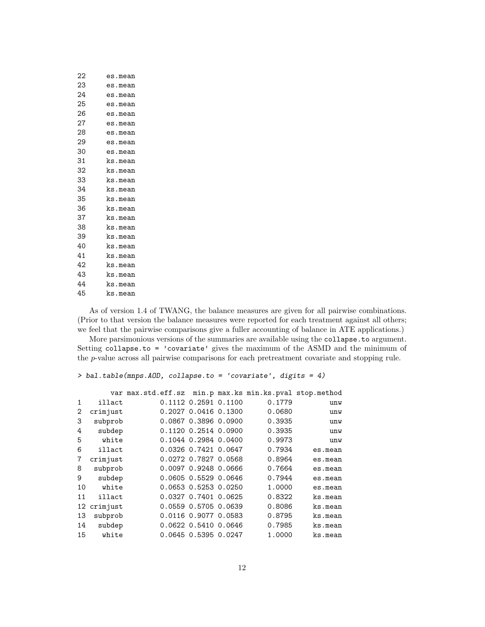| 22 | es.mean |
|----|---------|
| 23 | es.mean |
| 24 | es.mean |
| 25 | es.mean |
| 26 | es.mean |
| 27 | es.mean |
| 28 | es.mean |
| 29 | es.mean |
| 30 | es.mean |
| 31 | ks.mean |
| 32 | ks.mean |
| 33 | ks.mean |
| 34 | ks.mean |
| 35 | ks.mean |
| 36 | ks.mean |
| 37 | ks.mean |
| 38 | ks.mean |
| 39 | ks.mean |
| 40 | ks.mean |
| 41 | ks.mean |
| 42 | ks.mean |
| 43 | ks.mean |
| 44 | ks.mean |
| 45 | ks.mean |
|    |         |

As of version 1.4 of TWANG, the balance measures are given for all pairwise combinations. (Prior to that version the balance measures were reported for each treatment against all others; we feel that the pairwise comparisons give a fuller accounting of balance in ATE applications.)

More parsimonious versions of the summaries are available using the collapse.to argument. Setting collapse.to = 'covariate' gives the maximum of the ASMD and the minimum of the p-value across all pairwise comparisons for each pretreatment covariate and stopping rule.

> bal.table(mnps.AOD, collapse.to = 'covariate', digits = 4)

|                |          | var max.std.eff.sz min.p max.ks min.ks.pval stop.method |                      |        |         |
|----------------|----------|---------------------------------------------------------|----------------------|--------|---------|
| 1              | illact   |                                                         | 0.1112 0.2591 0.1100 | 0.1779 | unw     |
| 2              | crimjust |                                                         | 0.2027 0.0416 0.1300 | 0.0680 | unw     |
| 3              | subprob  |                                                         | 0.0867 0.3896 0.0900 | 0.3935 | unw     |
| 4              | subdep   |                                                         | 0.1120 0.2514 0.0900 | 0.3935 | unw     |
| 5              | white    |                                                         | 0.1044 0.2984 0.0400 | 0.9973 | unw     |
| 6              | illact   |                                                         | 0.0326 0.7421 0.0647 | 0.7934 | es.mean |
| $\overline{7}$ | crimjust |                                                         | 0.0272 0.7827 0.0568 | 0.8964 | es.mean |
| 8              | subprob  |                                                         | 0.0097 0.9248 0.0666 | 0.7664 | es.mean |
| 9              | subdep   |                                                         | 0.0605 0.5529 0.0646 | 0.7944 | es.mean |
| 10             | white    |                                                         | 0.0653 0.5253 0.0250 | 1.0000 | es.mean |
| 11             | illact   |                                                         | 0.0327 0.7401 0.0625 | 0.8322 | ks.mean |
| 12             | crimjust |                                                         | 0.0559 0.5705 0.0639 | 0.8086 | ks.mean |
| 13             | subprob  |                                                         | 0.0116 0.9077 0.0583 | 0.8795 | ks.mean |
| 14             | subdep   |                                                         | 0.0622 0.5410 0.0646 | 0.7985 | ks.mean |
| 15             | white    |                                                         | 0.0645 0.5395 0.0247 | 1.0000 | ks.mean |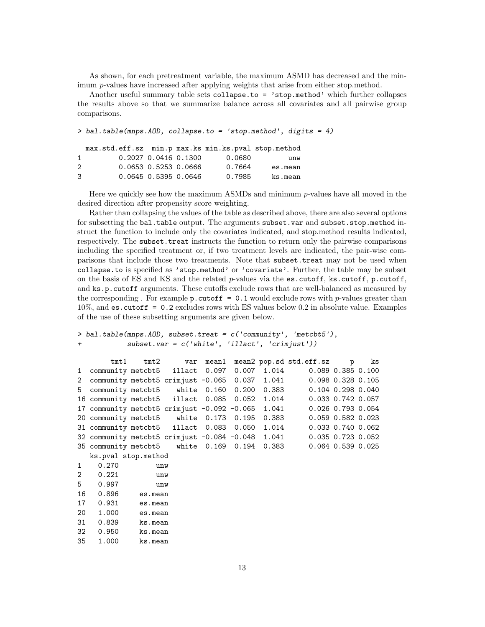As shown, for each pretreatment variable, the maximum ASMD has decreased and the minimum p-values have increased after applying weights that arise from either stop.method.

Another useful summary table sets collapse.to = 'stop.method' which further collapses the results above so that we summarize balance across all covariates and all pairwise group comparisons.

> bal.table(mnps.AOD, collapse.to = 'stop.method', digits = 4) max.std.eff.sz min.p max.ks min.ks.pval stop.method 1 0.2027 0.0416 0.1300 0.0680 unw 2 0.0653 0.5253 0.0666 0.7664 es.mean 3 0.0645 0.5395 0.0646 0.7985 ks.mean

Here we quickly see how the maximum ASMDs and minimum  $p$ -values have all moved in the desired direction after propensity score weighting.

Rather than collapsing the values of the table as described above, there are also several options for subsetting the bal.table output. The arguments subset.var and subset.stop.method instruct the function to include only the covariates indicated, and stop.method results indicated, respectively. The subset.treat instructs the function to return only the pairwise comparisons including the specified treatment or, if two treatment levels are indicated, the pair-wise comparisons that include those two treatments. Note that subset.treat may not be used when collapse.to is specified as 'stop.method' or 'covariate'. Further, the table may be subset on the basis of ES and KS and the related p-values via the  $es.cutoff$ ,  $ks.cutoff$ ,  $p.cutoff$ , and ks.p.cutoff arguments. These cutoffs exclude rows that are well-balanced as measured by the corresponding . For example  $p$  cutoff = 0.1 would exclude rows with p-values greater than 10%, and es.cutoff = 0.2 excludes rows with ES values below 0.2 in absolute value. Examples of the use of these subsetting arguments are given below.

```
> bal.table(mnps.AOD, subset.treat = c('community', 'metcbt5'),
+ subset.var = c('white', 'illact', 'crimjust'))
```

| tmt1                                                  |     |  |  |  |  | tmt2 var mean1 mean2 pop.sd std.eff.sz p ks                       |  |  |  |  |
|-------------------------------------------------------|-----|--|--|--|--|-------------------------------------------------------------------|--|--|--|--|
|                                                       |     |  |  |  |  | 1 community metcbt5 illact 0.097 0.007 1.014 0.089 0.385 0.100    |  |  |  |  |
|                                                       |     |  |  |  |  | 2 community metcbt5 crimjust -0.065 0.037 1.041 0.098 0.328 0.105 |  |  |  |  |
|                                                       |     |  |  |  |  | 5 community metcbt5 white 0.160 0.200 0.383 0.104 0.298 0.040     |  |  |  |  |
| 16 community metcbt5 illact 0.085 0.052 1.014         |     |  |  |  |  | 0.033 0.742 0.057                                                 |  |  |  |  |
| 17 community metcbt5 crimjust $-0.092$ $-0.065$ 1.041 |     |  |  |  |  | 0.026 0.793 0.054                                                 |  |  |  |  |
| 20 community metcbt5 white 0.173 0.195 0.383          |     |  |  |  |  | 0.059 0.582 0.023                                                 |  |  |  |  |
| 31 community metcbt5 illact 0.083 0.050 1.014         |     |  |  |  |  | 0.033 0.740 0.062                                                 |  |  |  |  |
| 32 community metcbt5 crimjust $-0.084$ $-0.048$ 1.041 |     |  |  |  |  | 0.035 0.723 0.052                                                 |  |  |  |  |
| 35 community metcbt5 white 0.169 0.194 0.383          |     |  |  |  |  | $0.064$ 0.539 0.025                                               |  |  |  |  |
| ks.pval stop.method                                   |     |  |  |  |  |                                                                   |  |  |  |  |
| 1 0.270                                               | unw |  |  |  |  |                                                                   |  |  |  |  |
| $\sim$ $\sim$ $\sim$ $\sim$                           |     |  |  |  |  |                                                                   |  |  |  |  |

| 2  | 0.221 | unw     |
|----|-------|---------|
| 5  | 0.997 | unw     |
| 16 | 0.896 | es.mean |
| 17 | 0.931 | es.mean |
| 20 | 1.000 | es.mean |
| 31 | 0.839 | ks.mean |
| 32 | 0.950 | ks.mean |
| 35 | 1.000 | ks.mean |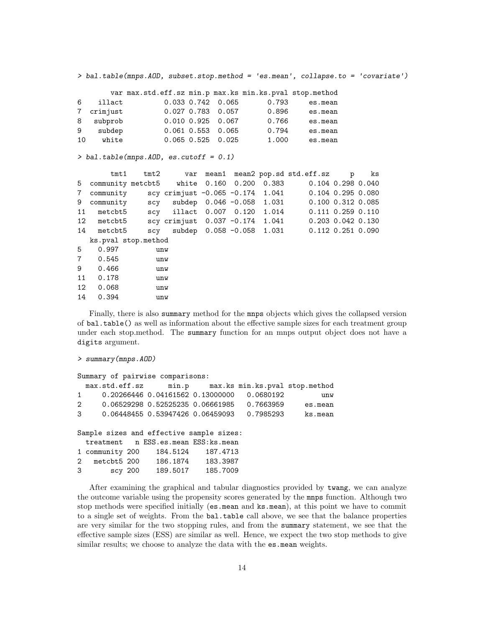> bal.table(mnps.AOD, subset.stop.method = 'es.mean', collapse.to = 'covariate')

|    |            | var max.std.eff.sz min.p max.ks min.ks.pval stop.method |                         |       |         |
|----|------------|---------------------------------------------------------|-------------------------|-------|---------|
| 6  | illact     |                                                         | $0.033$ $0.742$ $0.065$ | 0.793 | es.mean |
|    | 7 crimjust |                                                         | $0.027$ 0.783 0.057     | 0.896 | es.mean |
| 8  | subprob    |                                                         | $0.010$ $0.925$ $0.067$ | 0.766 | es.mean |
| 9  | subdep     |                                                         | $0.061$ $0.553$ $0.065$ | 0.794 | es.mean |
| 10 | white      |                                                         | $0.065$ $0.525$ $0.025$ | 1.000 | es.mean |

> bal.table(mnps.AOD, es.cutoff = 0.1)

|                  | $t$ mt $1$          |     | $tmt2$ var                      |  |                           | mean1 mean2 pop.sd std.eff.sz                                 | p | ks |
|------------------|---------------------|-----|---------------------------------|--|---------------------------|---------------------------------------------------------------|---|----|
|                  |                     |     |                                 |  |                           | 5 community metcbt5 white 0.160 0.200 0.383 0.104 0.298 0.040 |   |    |
| $7\overline{ }$  | community           |     |                                 |  |                           | scy crimjust -0.065 -0.174 1.041 0.104 0.295 0.080            |   |    |
| 9                | community           | SCV |                                 |  |                           | subdep 0.046 -0.058 1.031 0.100 0.312 0.085                   |   |    |
| 11               | metcbt5             |     |                                 |  |                           | scy illact 0.007 0.120 1.014 0.111 0.259 0.110                |   |    |
|                  | 12 metcbt5          |     | scy crimjust 0.037 -0.174 1.041 |  |                           | 0.203 0.042 0.130                                             |   |    |
| 14               | metcbt5             | SCV |                                 |  | subdep 0.058 -0.058 1.031 | 0.112 0.251 0.090                                             |   |    |
|                  | ks.pval stop.method |     |                                 |  |                           |                                                               |   |    |
| 5                | 0.997               | unw |                                 |  |                           |                                                               |   |    |
| $7^{\circ}$      | 0.545               | unw |                                 |  |                           |                                                               |   |    |
| 9                | 0.466               | unw |                                 |  |                           |                                                               |   |    |
| 11               | 0.178               | unw |                                 |  |                           |                                                               |   |    |
| 12 <sup>12</sup> | 0.068               | unw |                                 |  |                           |                                                               |   |    |
| 14               | 0.394               | unw |                                 |  |                           |                                                               |   |    |
|                  |                     |     |                                 |  |                           |                                                               |   |    |

Finally, there is also summary method for the mnps objects which gives the collapsed version of bal.table() as well as information about the effective sample sizes for each treatment group under each stop.method. The summary function for an mnps output object does not have a digits argument.

```
> summary(mnps.AOD)
```

```
Summary of pairwise comparisons:
 max.std.eff.sz min.p max.ks min.ks.pval stop.method
1 0.20266446 0.04161562 0.13000000 0.0680192 unw
2 0.06529298 0.52525235 0.06661985 0.7663959 es.mean
3 0.06448455 0.53947426 0.06459093 0.7985293 ks.mean
Sample sizes and effective sample sizes:
 treatment n ESS.es.mean ESS:ks.mean
1 community 200 184.5124 187.4713
2 metcbt5 200 186.1874 183.3987
3 scy 200 189.5017 185.7009
```
After examining the graphical and tabular diagnostics provided by twang, we can analyze the outcome variable using the propensity scores generated by the mnps function. Although two stop methods were specified initially (es.mean and ks.mean), at this point we have to commit to a single set of weights. From the bal.table call above, we see that the balance properties are very similar for the two stopping rules, and from the summary statement, we see that the effective sample sizes (ESS) are similar as well. Hence, we expect the two stop methods to give similar results; we choose to analyze the data with the es.mean weights.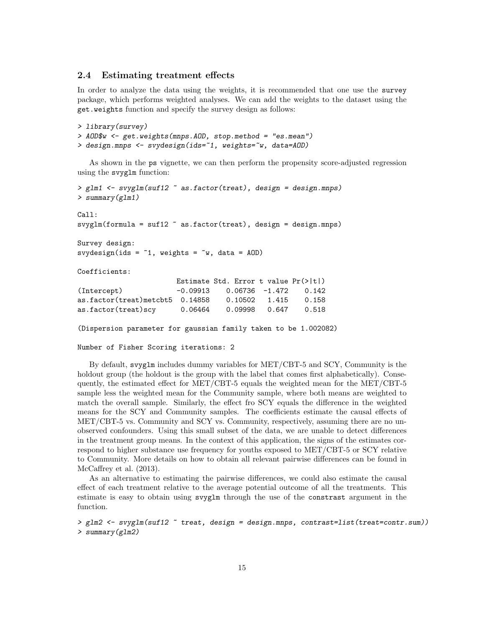#### 2.4 Estimating treatment effects

In order to analyze the data using the weights, it is recommended that one use the survey package, which performs weighted analyses. We can add the weights to the dataset using the get.weights function and specify the survey design as follows:

```
> library(survey)
> AOD$w <- get.weights(mnps.AOD, stop.method = "es.mean")
> design.mnps <- svydesign(ids=~1, weights=~w, data=AOD)
```
As shown in the ps vignette, we can then perform the propensity score-adjusted regression using the svyglm function:

```
> glm1 <- svyglm(suf12 ~ as.factor(treat), design = design.mnps)
> summary(glm1)
Call:
svyglm(formula = sufl2 ~ a s.factor(treat), design = design.mpps)Survey design:
svydesign(ids = \tilde{ }1, weights = \tilde{ }w, data = AOD)
Coefficients:
                       Estimate Std. Error t value Pr(>|t|)
(Intercept) -0.09913 0.06736 -1.472 0.142
as.factor(treat)metcbt5 0.14858 0.10502 1.415 0.158
as.factor(treat)scy 0.06464 0.09998 0.647 0.518
(Dispersion parameter for gaussian family taken to be 1.002082)
```
Number of Fisher Scoring iterations: 2

By default, svyglm includes dummy variables for MET/CBT-5 and SCY, Community is the holdout group (the holdout is the group with the label that comes first alphabetically). Consequently, the estimated effect for MET/CBT-5 equals the weighted mean for the MET/CBT-5 sample less the weighted mean for the Community sample, where both means are weighted to match the overall sample. Similarly, the effect fro SCY equals the difference in the weighted means for the SCY and Community samples. The coefficients estimate the causal effects of MET/CBT-5 vs. Community and SCY vs. Community, respectively, assuming there are no unobserved confounders. Using this small subset of the data, we are unable to detect differences in the treatment group means. In the context of this application, the signs of the estimates correspond to higher substance use frequency for youths exposed to MET/CBT-5 or SCY relative to Community. More details on how to obtain all relevant pairwise differences can be found in McCaffrey et al.  $(2013)$ .

As an alternative to estimating the pairwise differences, we could also estimate the causal effect of each treatment relative to the average potential outcome of all the treatments. This estimate is easy to obtain using svyglm through the use of the constrast argument in the function.

```
> glm2 <- svyglm(suf12 ~ treat, design = design.mnps, contrast=list(treat=contr.sum))
> summary(glm2)
```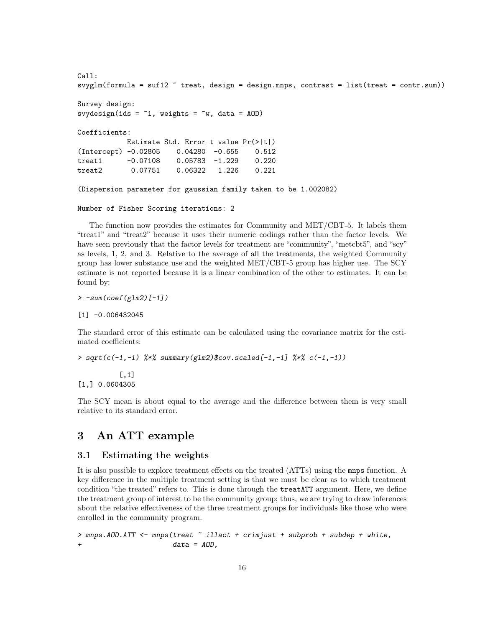```
Call:
svglm(formula = suffix^* treat, design = design.maps, contrast = list(treat = contr.sum))Survey design:
svydesign(ids = \tilde{ }1, weights = \tilde{ }w, data = AOD)
Coefficients:
           Estimate Std. Error t value Pr(>|t|)
(Intercept) -0.02805 0.04280 -0.655 0.512
treat1 -0.07108 0.05783 -1.229 0.220
treat2 0.07751 0.06322 1.226 0.221
(Dispersion parameter for gaussian family taken to be 1.002082)
```

```
Number of Fisher Scoring iterations: 2
```
The function now provides the estimates for Community and MET/CBT-5. It labels them "treat1" and "treat2" because it uses their numeric codings rather than the factor levels. We have seen previously that the factor levels for treatment are "community", "metcbt5", and "scy" as levels, 1, 2, and 3. Relative to the average of all the treatments, the weighted Community group has lower substance use and the weighted MET/CBT-5 group has higher use. The SCY estimate is not reported because it is a linear combination of the other to estimates. It can be found by:

 $> -sum(coef(glm2)[-1])$ 

[1] -0.006432045

The standard error of this estimate can be calculated using the covariance matrix for the estimated coefficients:

> sqrt(c(-1,-1) %\*% summary(glm2)\$cov.scaled[-1,-1] %\*% c(-1,-1))

[,1] [1,] 0.0604305

The SCY mean is about equal to the average and the difference between them is very small relative to its standard error.

# 3 An ATT example

#### 3.1 Estimating the weights

It is also possible to explore treatment effects on the treated (ATTs) using the mnps function. A key difference in the multiple treatment setting is that we must be clear as to which treatment condition "the treated" refers to. This is done through the treatATT argument. Here, we define the treatment group of interest to be the community group; thus, we are trying to draw inferences about the relative effectiveness of the three treatment groups for individuals like those who were enrolled in the community program.

> mnps.AOD.ATT <- mnps(treat ~ illact + crimjust + subprob + subdep + white,  $data = AOD,$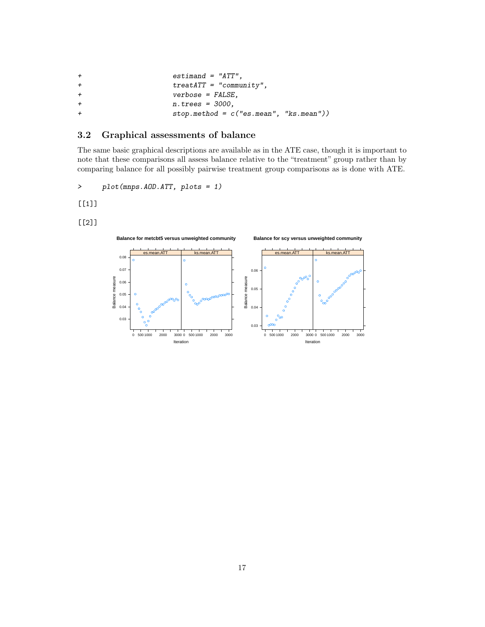| $^{+}$ | $estimand = "ATT".$                       |
|--------|-------------------------------------------|
| $+$    | $treatATT = "community",$                 |
| $+$    | $verbose = FALSE$ ,                       |
| $+$    | $n.$ trees = 3000.                        |
| $^{+}$ | $stop. method = c("es.mean", "ks.mean"))$ |

### 3.2 Graphical assessments of balance

The same basic graphical descriptions are available as in the ATE case, though it is important to note that these comparisons all assess balance relative to the "treatment" group rather than by comparing balance for all possibly pairwise treatment group comparisons as is done with ATE.

> plot(mnps.AOD.ATT, plots = 1)

[[1]]

[[2]]

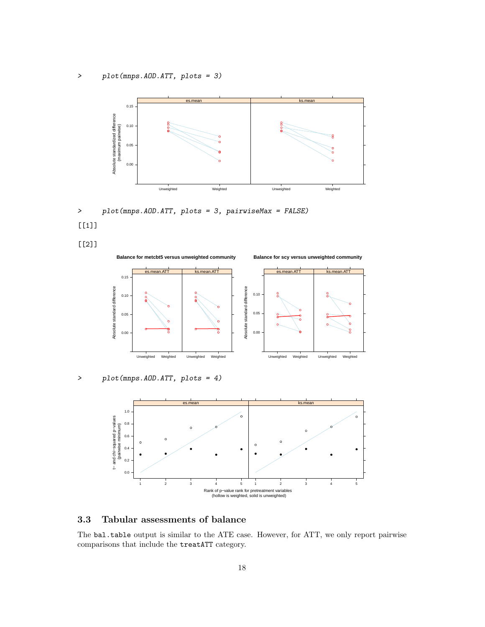> plot(mnps.AOD.ATT, plots = 3)



> plot(mnps.AOD.ATT, plots = 3, pairwiseMax = FALSE) [[1]]

[[2]]



> plot(mnps.AOD.ATT, plots = 4)



### 3.3 Tabular assessments of balance

The bal.table output is similar to the ATE case. However, for ATT, we only report pairwise comparisons that include the treatATT category.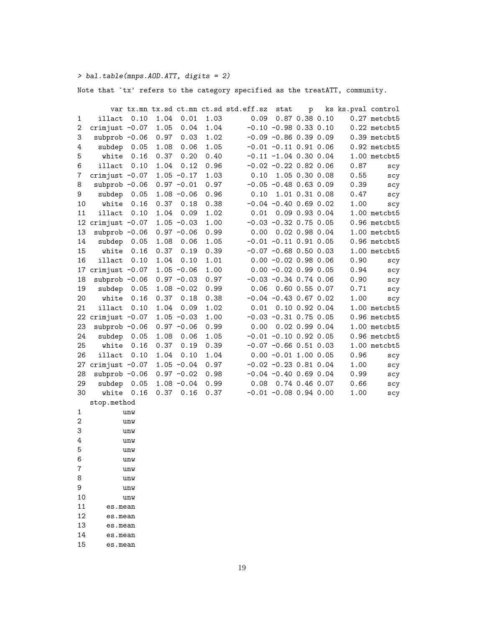> bal.table(mnps.AOD.ATT, digits = 2)

Note that `tx' refers to the category specified as the treatATT, community.

|              |                     |      |      |               |      | var tx.mn tx.sd ct.mn ct.sd std.eff.sz | stat                     | p                |      | ks ks.pval control |
|--------------|---------------------|------|------|---------------|------|----------------------------------------|--------------------------|------------------|------|--------------------|
| $\mathbf{1}$ | illact              | 0.10 | 1.04 | 0.01          | 1.03 | 0.09                                   |                          | 0.87 0.38 0.10   |      | 0.27 metcbt5       |
| 2            | crimjust $-0.07$    |      | 1.05 | 0.04          | 1.04 |                                        | $-0.10 -0.98 0.33 0.10$  |                  |      | $0.22$ metcbt $5$  |
| 3            | subprob $-0.06$     |      | 0.97 | 0.03          | 1.02 |                                        | $-0.09 - 0.86 0.39 0.09$ |                  |      | $0.39$ metcbt $5$  |
| 4            | subdep              | 0.05 | 1.08 | 0.06          | 1.05 |                                        | $-0.01 -0.11 0.91 0.06$  |                  |      | $0.92$ metcbt $5$  |
| 5            | white               | 0.16 | 0.37 | 0.20          | 0.40 |                                        | $-0.11 -1.04$ 0.30 0.04  |                  |      | 1.00 metcbt5       |
| 6            | illact              | 0.10 | 1.04 | 0.12          | 0.96 |                                        | $-0.02 -0.22 0.82 0.06$  |                  | 0.87 | scy                |
| 7            | crimjust $-0.07$    |      |      | $1.05 - 0.17$ | 1.03 | 0.10                                   |                          | 1.05 0.30 0.08   | 0.55 | scy                |
| 8            | subprob $-0.06$     |      |      | $0.97 - 0.01$ | 0.97 |                                        | $-0.05 -0.48 0.63 0.09$  |                  | 0.39 | scy                |
| 9            | subdep              | 0.05 |      | $1.08 - 0.06$ | 0.96 | 0.10                                   |                          | 1.01 0.31 0.08   | 0.47 | scy                |
| 10           | white               | 0.16 | 0.37 | 0.18          | 0.38 |                                        | $-0.04 -0.40 0.69 0.02$  |                  | 1.00 | scy                |
| 11           | illact              | 0.10 | 1.04 | 0.09          | 1.02 | 0.01                                   |                          | 0.09 0.93 0.04   |      | 1.00 metcbt5       |
|              | 12 crimjust $-0.07$ |      |      | $1.05 - 0.03$ | 1.00 |                                        | $-0.03 -0.32 0.75 0.05$  |                  |      | 0.96 metcbt5       |
| 13           | subprob $-0.06$     |      |      | $0.97 - 0.06$ | 0.99 | 0.00                                   |                          | $0.02$ 0.98 0.04 |      | 1.00 metcbt5       |
| 14           | subdep              | 0.05 | 1.08 | 0.06          | 1.05 |                                        | $-0.01 -0.11 0.91 0.05$  |                  |      | $0.96$ metcbt $5$  |
| 15           | white               | 0.16 | 0.37 | 0.19          | 0.39 |                                        | $-0.07 -0.68$ 0.50 0.03  |                  |      | 1.00 metcbt5       |
| 16           | illact              | 0.10 | 1.04 | 0.10          | 1.01 |                                        | $0.00 - 0.02 0.98 0.06$  |                  | 0.90 | scy                |
| 17           | crimjust $-0.07$    |      |      | $1.05 - 0.06$ | 1.00 |                                        | $0.00 - 0.02 0.99 0.05$  |                  | 0.94 | scy                |
| 18           | $subprob -0.06$     |      |      | $0.97 - 0.03$ | 0.97 |                                        | $-0.03 -0.34$ 0.74 0.06  |                  | 0.90 | scy                |
| 19           | subdep              | 0.05 |      | $1.08 - 0.02$ | 0.99 | 0.06                                   | 0.60 0.55 0.07           |                  | 0.71 | scy                |
| 20           | white               | 0.16 | 0.37 | 0.18          | 0.38 |                                        | $-0.04 -0.43 0.67 0.02$  |                  | 1.00 | scy                |
| 21           | illact              | 0.10 | 1.04 | 0.09          | 1.02 | 0.01                                   | $0.10$ $0.92$ $0.04$     |                  |      | $1.00$ metcbt $5$  |
|              | 22 crimjust $-0.07$ |      |      | $1.05 - 0.03$ | 1.00 |                                        | $-0.03 -0.31 0.75 0.05$  |                  |      | 0.96 metcbt5       |
| 23           | subprob $-0.06$     |      |      | $0.97 - 0.06$ | 0.99 | 0.00                                   | 0.02 0.99 0.04           |                  |      | 1.00 metcbt5       |
| 24           | subdep              | 0.05 | 1.08 | 0.06          | 1.05 |                                        | $-0.01 - 0.10 0.92 0.05$ |                  |      | 0.96 metcbt5       |
| 25           | white               | 0.16 | 0.37 | 0.19          | 0.39 |                                        | $-0.07 -0.66$ 0.51 0.03  |                  |      | 1.00 metcbt5       |
| 26           | illact              | 0.10 | 1.04 | 0.10          | 1.04 |                                        | $0.00 - 0.01$ 1.00 0.05  |                  | 0.96 | scy                |
| 27           | crimjust $-0.07$    |      |      | $1.05 - 0.04$ | 0.97 |                                        | $-0.02 -0.23 0.81 0.04$  |                  | 1.00 | scy                |
| 28           | subprob $-0.06$     |      |      | $0.97 - 0.02$ | 0.98 |                                        | $-0.04 -0.40 0.69 0.04$  |                  | 0.99 | scy                |
| 29           | subdep              | 0.05 |      | $1.08 - 0.04$ | 0.99 | 0.08                                   | 0.74 0.46 0.07           |                  | 0.66 | scy                |
| 30           | white               | 0.16 | 0.37 | 0.16          | 0.37 |                                        | $-0.01 - 0.08$ 0.94 0.00 |                  | 1.00 | scy                |
|              | stop.method         |      |      |               |      |                                        |                          |                  |      |                    |
| $\mathbf{1}$ |                     | unw  |      |               |      |                                        |                          |                  |      |                    |
| $\,2$        |                     | unw  |      |               |      |                                        |                          |                  |      |                    |
| 3            |                     | unw  |      |               |      |                                        |                          |                  |      |                    |
| 4            |                     | unw  |      |               |      |                                        |                          |                  |      |                    |
| 5            |                     | unw  |      |               |      |                                        |                          |                  |      |                    |
| 6            |                     | unw  |      |               |      |                                        |                          |                  |      |                    |
| 7            |                     | unw  |      |               |      |                                        |                          |                  |      |                    |
| 8            |                     | unw  |      |               |      |                                        |                          |                  |      |                    |
| 9            |                     | unw  |      |               |      |                                        |                          |                  |      |                    |
| 10           |                     | unw  |      |               |      |                                        |                          |                  |      |                    |
| 11           | es.mean             |      |      |               |      |                                        |                          |                  |      |                    |
| 12           | es.mean             |      |      |               |      |                                        |                          |                  |      |                    |
| 13           | es.mean             |      |      |               |      |                                        |                          |                  |      |                    |
| 14           | es.mean             |      |      |               |      |                                        |                          |                  |      |                    |

15 es.mean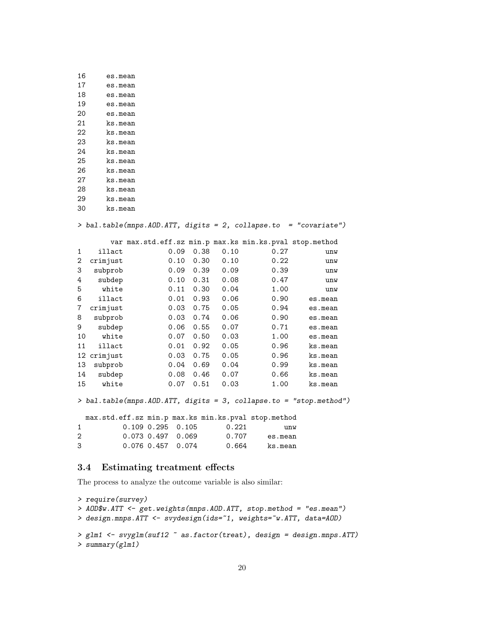| 16 | es.mean |
|----|---------|
| 17 | es.mean |
| 18 | es.mean |
| 19 | es.mean |
| 20 | es.mean |
| 21 | ks.mean |
| 22 | ks.mean |
| 23 | ks.mean |
| 24 | ks.mean |
| 25 | ks.mean |
| 26 | ks.mean |
| 27 | ks.mean |
| 28 | ks.mean |
| 29 | ks.mean |
| 30 | ks.mean |

> bal.table(mnps.AOD.ATT, digits = 2, collapse.to = "covariate")

|              |          | var max.std.eff.sz min.p max.ks min.ks.pval stop.method |      |      |      |         |
|--------------|----------|---------------------------------------------------------|------|------|------|---------|
| $\mathbf{1}$ | illact   | 0.09                                                    | 0.38 | 0.10 | 0.27 | unw     |
| 2            | crimjust | 0.10                                                    | 0.30 | 0.10 | 0.22 | unw     |
| 3            | subprob  | 0.09                                                    | 0.39 | 0.09 | 0.39 | unw     |
| 4            | subdep   | 0.10                                                    | 0.31 | 0.08 | 0.47 | unw     |
| 5            | white    | 0.11                                                    | 0.30 | 0.04 | 1.00 | unw     |
| 6            | illact   | 0.01                                                    | 0.93 | 0.06 | 0.90 | es.mean |
| 7            | crimjust | 0.03                                                    | 0.75 | 0.05 | 0.94 | es.mean |
| 8            | subprob  | 0.03                                                    | 0.74 | 0.06 | 0.90 | es.mean |
| 9            | subdep   | 0.06                                                    | 0.55 | 0.07 | 0.71 | es.mean |
| 10           | white    | 0.07                                                    | 0.50 | 0.03 | 1.00 | es.mean |
| 11           | illact   | 0.01                                                    | 0.92 | 0.05 | 0.96 | ks.mean |
| 12           | crimjust | 0.03                                                    | 0.75 | 0.05 | 0.96 | ks.mean |
| 13           | subprob  | 0.04                                                    | 0.69 | 0.04 | 0.99 | ks.mean |
| 14           | subdep   | 0.08                                                    | 0.46 | 0.07 | 0.66 | ks.mean |
| 15           | white    | 0.07                                                    | 0.51 | 0.03 | 1.00 | ks.mean |

> bal.table(mnps.AOD.ATT, digits = 3, collapse.to = "stop.method")

max.std.eff.sz min.p max.ks min.ks.pval stop.method 1 0.109 0.295 0.105 0.221 unw 2 0.073 0.497 0.069 0.707 es.mean 3 0.076 0.457 0.074 0.664 ks.mean

### 3.4 Estimating treatment effects

The process to analyze the outcome variable is also similar:

```
> require(survey)
> AOD$w.ATT <- get.weights(mnps.AOD.ATT, stop.method = "es.mean")
> design.mnps.ATT <- svydesign(ids=~1, weights=~w.ATT, data=AOD)
> glm1 <- svyglm(suf12 ~ as.factor(treat), design = design.mnps.ATT)
> summary(glm1)
```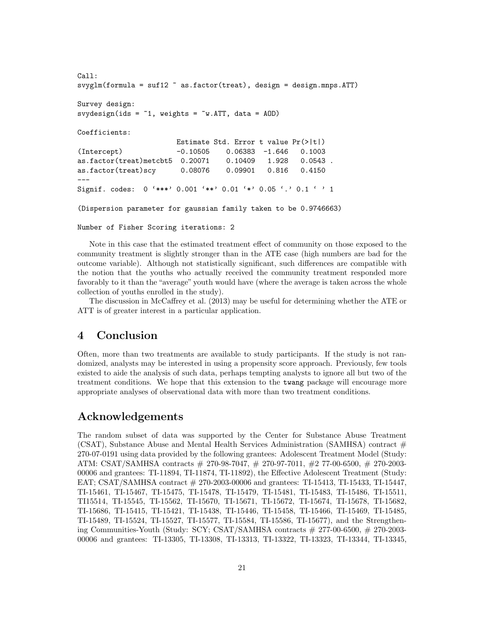```
Call:
svyglm(formula = suf12 ~ as.factor(treat), design = design.mnps.ATT)
Survey design:
svydesign(ids = \tilde{ }1, weights = \tilde{ }w.ATT, data = AOD)
Coefficients:
                       Estimate Std. Error t value Pr(>|t|)
(Intercept) -0.10505 0.06383 -1.646 0.1003
as.factor(treat)metcbt5 0.20071 0.10409 1.928 0.0543 .
as.factor(treat)scy 0.08076 0.09901 0.816 0.4150
---
Signif. codes: 0 '***' 0.001 '**' 0.01 '*' 0.05 '.' 0.1 ' ' 1
(Dispersion parameter for gaussian family taken to be 0.9746663)
```
Number of Fisher Scoring iterations: 2

Note in this case that the estimated treatment effect of community on those exposed to the community treatment is slightly stronger than in the ATE case (high numbers are bad for the outcome variable). Although not statistically significant, such differences are compatible with the notion that the youths who actually received the community treatment responded more favorably to it than the "average" youth would have (where the average is taken across the whole collection of youths enrolled in the study).

The discussion in McCaffrey et al. (2013) may be useful for determining whether the ATE or ATT is of greater interest in a particular application.

## 4 Conclusion

Often, more than two treatments are available to study participants. If the study is not randomized, analysts may be interested in using a propensity score approach. Previously, few tools existed to aide the analysis of such data, perhaps tempting analysts to ignore all but two of the treatment conditions. We hope that this extension to the twang package will encourage more appropriate analyses of observational data with more than two treatment conditions.

### Acknowledgements

The random subset of data was supported by the Center for Substance Abuse Treatment (CSAT), Substance Abuse and Mental Health Services Administration (SAMHSA) contract  $#$ 270-07-0191 using data provided by the following grantees: Adolescent Treatment Model (Study: ATM: CSAT/SAMHSA contracts # 270-98-7047, # 270-97-7011, #2 77-00-6500, # 270-2003- 00006 and grantees: TI-11894, TI-11874, TI-11892), the Effective Adolescent Treatment (Study: EAT; CSAT/SAMHSA contract # 270-2003-00006 and grantees: TI-15413, TI-15433, TI-15447, TI-15461, TI-15467, TI-15475, TI-15478, TI-15479, TI-15481, TI-15483, TI-15486, TI-15511, TI15514, TI-15545, TI-15562, TI-15670, TI-15671, TI-15672, TI-15674, TI-15678, TI-15682, TI-15686, TI-15415, TI-15421, TI-15438, TI-15446, TI-15458, TI-15466, TI-15469, TI-15485, TI-15489, TI-15524, TI-15527, TI-15577, TI-15584, TI-15586, TI-15677), and the Strengthening Communities-Youth (Study: SCY; CSAT/SAMHSA contracts # 277-00-6500, # 270-2003- 00006 and grantees: TI-13305, TI-13308, TI-13313, TI-13322, TI-13323, TI-13344, TI-13345,